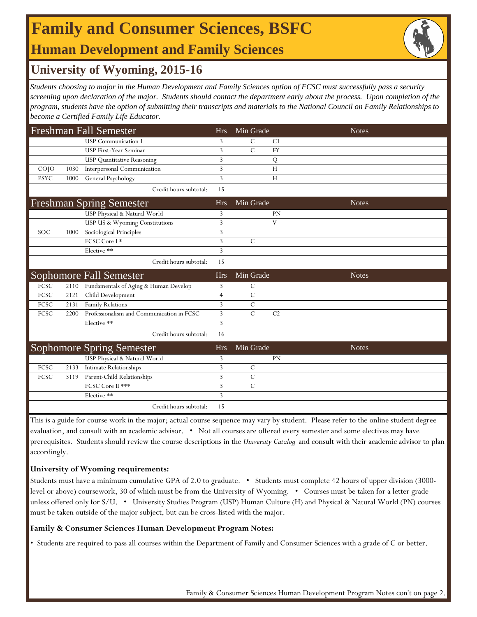# **Family and Consumer Sciences, BSFC**

## **Human Development and Family Sciences**

### **University of Wyoming, 2015-16**

*Students choosing to major in the Human Development and Family Sciences option of FCSC must successfully pass a security screening upon declaration of the major. Students should contact the department early about the process. Upon completion of the program, students have the option of submitting their transcripts and materials to the National Council on Family Relationships to become a Certified Family Life Educator.* 

| <b>Freshman Fall Semester</b>   |      |                                           | <b>Hrs</b>     | Min Grade      |                | <b>Notes</b> |
|---------------------------------|------|-------------------------------------------|----------------|----------------|----------------|--------------|
|                                 |      | <b>USP</b> Communication 1                | 3              | C              | C <sub>1</sub> |              |
|                                 |      | <b>USP First-Year Seminar</b>             | 3              | $\mathcal{C}$  | <b>FY</b>      |              |
|                                 |      | <b>USP Quantitative Reasoning</b>         | 3              |                | Q              |              |
| COJO                            | 1030 | Interpersonal Communication               | 3              |                | H              |              |
| <b>PSYC</b>                     | 1000 | General Psychology                        | 3              |                | H              |              |
|                                 |      | Credit hours subtotal:                    | 15             |                |                |              |
| <b>Freshman Spring Semester</b> |      | <b>Hrs</b>                                | Min Grade      |                | <b>Notes</b>   |              |
|                                 |      | USP Physical & Natural World              | 3              |                | <b>PN</b>      |              |
|                                 |      | USP US & Wyoming Constitutions            | 3              |                | V              |              |
| SOC                             | 1000 | Sociological Principles                   | 3              |                |                |              |
|                                 |      | FCSC Core I*                              | 3              | $\mathcal{C}$  |                |              |
|                                 |      | Elective **                               | 3              |                |                |              |
|                                 |      | Credit hours subtotal:                    | 15             |                |                |              |
|                                 |      |                                           |                |                |                |              |
|                                 |      | Sophomore Fall Semester                   | <b>Hrs</b>     | Min Grade      |                | <b>Notes</b> |
| FCSC                            | 2110 | Fundamentals of Aging & Human Develop     | 3              | C              |                |              |
| FCSC                            | 2121 | Child Development                         | $\overline{4}$ | $\mathcal{C}$  |                |              |
| FCSC                            | 2131 | Family Relations                          | 3              | $\mathcal{C}$  |                |              |
| <b>FCSC</b>                     | 2200 | Professionalism and Communication in FCSC | $\overline{3}$ | $\overline{C}$ | C <sub>2</sub> |              |
|                                 |      | Elective **                               | 3              |                |                |              |
|                                 |      | Credit hours subtotal:                    | 16             |                |                |              |
|                                 |      | <b>Sophomore Spring Semester</b>          | <b>Hrs</b>     | Min Grade      |                | <b>Notes</b> |
|                                 |      | USP Physical & Natural World              | 3              |                | <b>PN</b>      |              |
| FCSC                            | 2133 | <b>Intimate Relationships</b>             | 3              | $\mathcal{C}$  |                |              |
| FCSC                            | 3119 | Parent-Child Relationships                | 3              | $\mathcal{C}$  |                |              |
|                                 |      | FCSC Core II ***                          | 3              | $\mathcal{C}$  |                |              |
|                                 |      | Elective **                               | 3              |                |                |              |

This is a guide for course work in the major; actual course sequence may vary by student. Please refer to the online student degree evaluation, and consult with an academic advisor. • Not all courses are offered every semester and some electives may have prerequisites. Students should review the course descriptions in the *University Catalog* and consult with their academic advisor to plan accordingly.

#### **University of Wyoming requirements:**

Students must have a minimum cumulative GPA of 2.0 to graduate. • Students must complete 42 hours of upper division (3000 level or above) coursework, 30 of which must be from the University of Wyoming. • Courses must be taken for a letter grade unless offered only for S/U. • University Studies Program (USP) Human Culture (H) and Physical & Natural World (PN) courses must be taken outside of the major subject, but can be cross-listed with the major.

#### **Family & Consumer Sciences Human Development Program Notes:**

• Students are required to pass all courses within the Department of Family and Consumer Sciences with a grade of C or better.